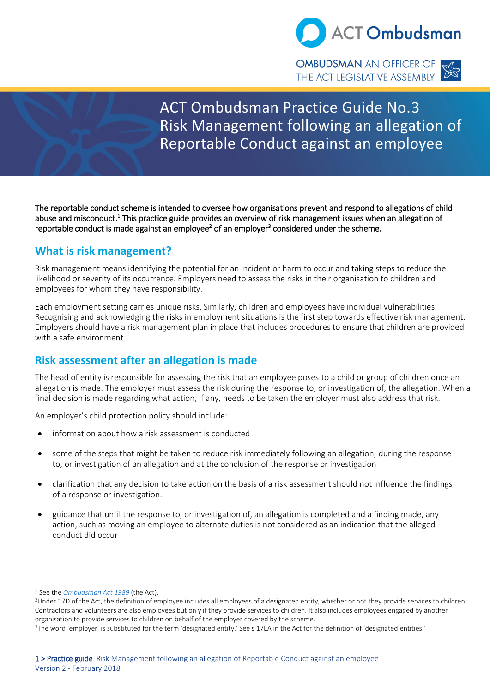

**OMBUDSMAN** AN OFFICER OF **OMBUDSMAN** AN OFFICER OF **SAMBLE AND THE ACT LEGISLATIVE ASSEMBLY** 



# ACT Ombudsman Practice Guide No.3 Risk Management following an allegation of Reportable Conduct against an employee

The reportable conduct scheme is intended to oversee how organisations prevent and respond to allegations of child abuse and misconduct.<sup>1</sup> This practice guide provides an overview of risk management issues when an allegation of reportable conduct is made against an employee<sup>2</sup> of an employer<sup>3</sup> considered under the scheme.

## **What is risk management?**

Risk management means identifying the potential for an incident or harm to occur and taking steps to reduce the likelihood or severity of its occurrence. Employers need to assess the risks in their organisation to children and employees for whom they have responsibility.

Each employment setting carries unique risks. Similarly, children and employees have individual vulnerabilities. Recognising and acknowledging the risks in employment situations is the first step towards effective risk management. Employers should have a risk management plan in place that includes procedures to ensure that children are provided with a safe environment.

## **Risk assessment after an allegation is made**

The head of entity is responsible for assessing the risk that an employee poses to a child or group of children once an allegation is made. The employer must assess the risk during the response to, or investigation of, the allegation. When a final decision is made regarding what action, if any, needs to be taken the employer must also address that risk.

An employer's child protection policy should include:

- information about how a risk assessment is conducted
- some of the steps that might be taken to reduce risk immediately following an allegation, during the response to, or investigation of an allegation and at the conclusion of the response or investigation
- clarification that any decision to take action on the basis of a risk assessment should not influence the findings of a response or investigation.
- guidance that until the response to, or investigation of, an allegation is completed and a finding made, any action, such as moving an employee to alternate duties is not considered as an indication that the alleged conduct did occur

<sup>1</sup> See the *[Ombudsman Act 1989](http://www.legislation.act.gov.au/a/alt_a1989-45co/default.asp)* (the Act).

<sup>&</sup>lt;sup>2</sup>Under 17D of the Act, the definition of employee includes all employees of a designated entity, whether or not they provide services to children. Contractors and volunteers are also employees but only if they provide services to children. It also includes employees engaged by another organisation to provide services to children on behalf of the employer covered by the scheme.

<sup>&</sup>lt;sup>3</sup>The word 'employer' is substituted for the term 'designated entity.' See s 17EA in the Act for the definition of 'designated entities.'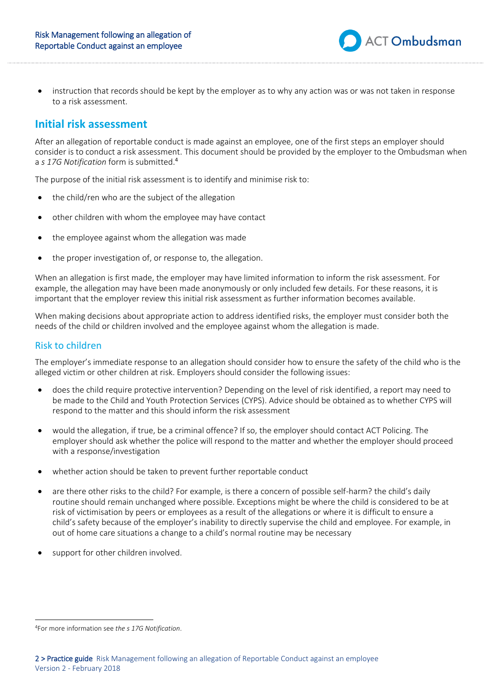instruction that records should be kept by the employer as to why any action was or was not taken in response to a risk assessment.

**ACT Ombudsman** 

## **Initial risk assessment**

After an allegation of reportable conduct is made against an employee, one of the first steps an employer should consider is to conduct a risk assessment. This document should be provided by the employer to the Ombudsman when a *s 17G Notification* form is submitted.<sup>4</sup>

The purpose of the initial risk assessment is to identify and minimise risk to:

- the child/ren who are the subject of the allegation
- other children with whom the employee may have contact
- the employee against whom the allegation was made
- the proper investigation of, or response to, the allegation.

When an allegation is first made, the employer may have limited information to inform the risk assessment. For example, the allegation may have been made anonymously or only included few details. For these reasons, it is important that the employer review this initial risk assessment as further information becomes available.

When making decisions about appropriate action to address identified risks, the employer must consider both the needs of the child or children involved and the employee against whom the allegation is made.

#### Risk to children

The employer's immediate response to an allegation should consider how to ensure the safety of the child who is the alleged victim or other children at risk. Employers should consider the following issues:

- does the child require protective intervention? Depending on the level of risk identified, a report may need to be made to the Child and Youth Protection Services (CYPS). Advice should be obtained as to whether CYPS will respond to the matter and this should inform the risk assessment
- would the allegation, if true, be a criminal offence? If so, the employer should contact ACT Policing. The employer should ask whether the police will respond to the matter and whether the employer should proceed with a response/investigation
- whether action should be taken to prevent further reportable conduct
- are there other risks to the child? For example, is there a concern of possible self-harm? the child's daily routine should remain unchanged where possible. Exceptions might be where the child is considered to be at risk of victimisation by peers or employees as a result of the allegations or where it is difficult to ensure a child's safety because of the employer's inability to directly supervise the child and employee. For example, in out of home care situations a change to a child's normal routine may be necessary
- support for other children involved.

<sup>4</sup>For more information see *the s 17G Notification*.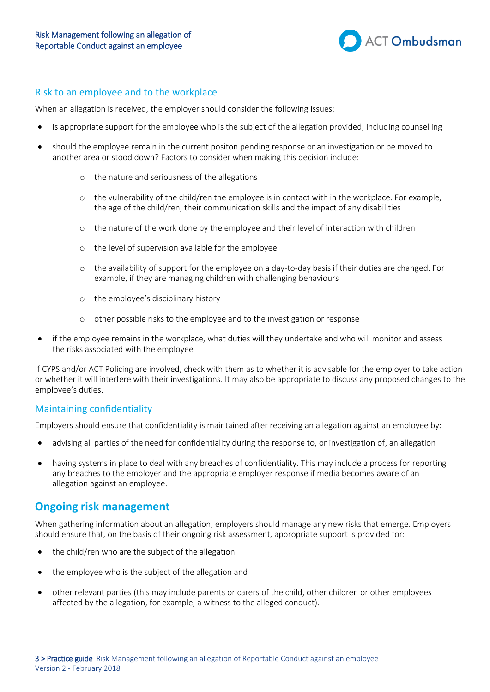

## Risk to an employee and to the workplace

When an allegation is received, the employer should consider the following issues:

- is appropriate support for the employee who is the subject of the allegation provided, including counselling
- should the employee remain in the current positon pending response or an investigation or be moved to another area or stood down? Factors to consider when making this decision include:
	- o the nature and seriousness of the allegations
	- o the vulnerability of the child/ren the employee is in contact with in the workplace. For example, the age of the child/ren, their communication skills and the impact of any disabilities
	- o the nature of the work done by the employee and their level of interaction with children
	- o the level of supervision available for the employee
	- o the availability of support for the employee on a day-to-day basis if their duties are changed. For example, if they are managing children with challenging behaviours
	- o the employee's disciplinary history
	- o other possible risks to the employee and to the investigation or response
- if the employee remains in the workplace, what duties will they undertake and who will monitor and assess the risks associated with the employee

If CYPS and/or ACT Policing are involved, check with them as to whether it is advisable for the employer to take action or whether it will interfere with their investigations. It may also be appropriate to discuss any proposed changes to the employee's duties.

#### Maintaining confidentiality

Employers should ensure that confidentiality is maintained after receiving an allegation against an employee by:

- advising all parties of the need for confidentiality during the response to, or investigation of, an allegation
- having systems in place to deal with any breaches of confidentiality. This may include a process for reporting any breaches to the employer and the appropriate employer response if media becomes aware of an allegation against an employee.

## **Ongoing risk management**

When gathering information about an allegation, employers should manage any new risks that emerge. Employers should ensure that, on the basis of their ongoing risk assessment, appropriate support is provided for:

- the child/ren who are the subject of the allegation
- the employee who is the subject of the allegation and
- other relevant parties (this may include parents or carers of the child, other children or other employees affected by the allegation, for example, a witness to the alleged conduct).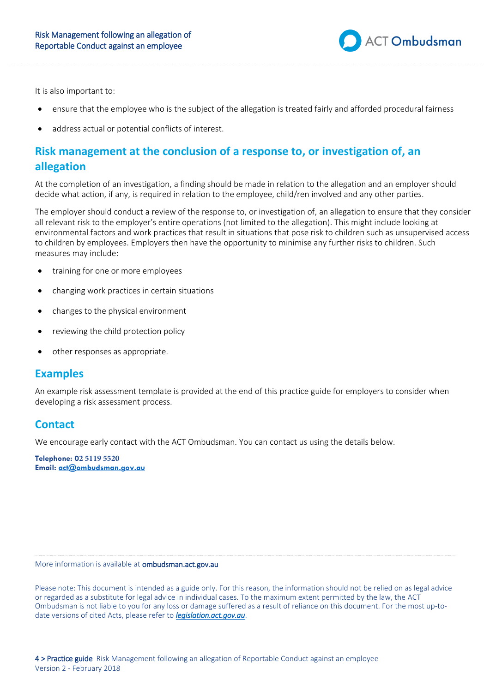

It is also important to:

- ensure that the employee who is the subject of the allegation is treated fairly and afforded procedural fairness
- address actual or potential conflicts of interest.

# **Risk management at the conclusion of a response to, or investigation of, an allegation**

At the completion of an investigation, a finding should be made in relation to the allegation and an employer should decide what action, if any, is required in relation to the employee, child/ren involved and any other parties.

The employer should conduct a review of the response to, or investigation of, an allegation to ensure that they consider all relevant risk to the employer's entire operations (not limited to the allegation). This might include looking at environmental factors and work practices that result in situations that pose risk to children such as unsupervised access to children by employees. Employers then have the opportunity to minimise any further risks to children. Such measures may include:

- training for one or more employees
- changing work practices in certain situations
- changes to the physical environment
- reviewing the child protection policy
- other responses as appropriate.

## **Examples**

An example risk assessment template is provided at the end of this practice guide for employers to consider when developing a risk assessment process.

## **Contact**

We encourage early contact with the ACT Ombudsman. You can contact us using the details below.

**Telephone: 02 5119 5520 Email: [act@ombudsman.gov.au](mailto:act@ombudsman.gov.au)**

More information is available at ombudsman.act.gov.au

Please note: This document is intended as a guide only. For this reason, the information should not be relied on as legal advice or regarded as a substitute for legal advice in individual cases. To the maximum extent permitted by the law, the ACT Ombudsman is not liable to you for any loss or damage suffered as a result of reliance on this document. For the most up-todate versions of cited Acts, please refer to *[legislation.act.gov.au](http://www.legislation.act.gov.au/)*.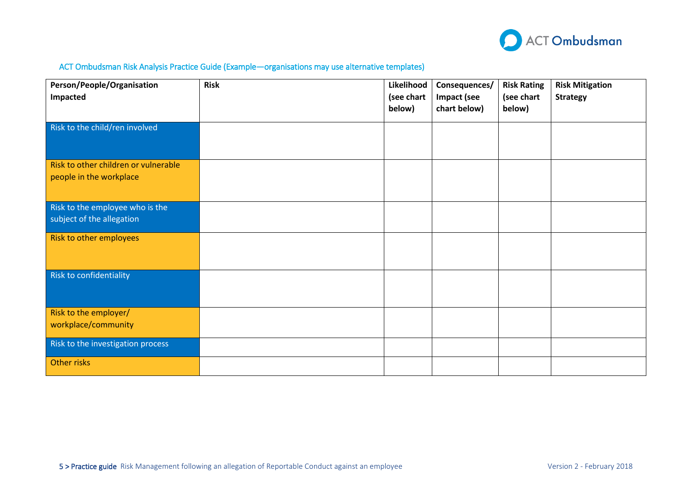

### ACT Ombudsman Risk Analysis Practice Guide (Example—organisations may use alternative templates)

| Person/People/Organisation           | <b>Risk</b> | Likelihood | Consequences/ | <b>Risk Rating</b> | <b>Risk Mitigation</b> |
|--------------------------------------|-------------|------------|---------------|--------------------|------------------------|
| <b>Impacted</b>                      |             | (see chart | Impact (see   | (see chart         | <b>Strategy</b>        |
|                                      |             | below)     | chart below)  | below)             |                        |
| Risk to the child/ren involved       |             |            |               |                    |                        |
|                                      |             |            |               |                    |                        |
| Risk to other children or vulnerable |             |            |               |                    |                        |
| people in the workplace              |             |            |               |                    |                        |
|                                      |             |            |               |                    |                        |
| Risk to the employee who is the      |             |            |               |                    |                        |
| subject of the allegation            |             |            |               |                    |                        |
| Risk to other employees              |             |            |               |                    |                        |
|                                      |             |            |               |                    |                        |
|                                      |             |            |               |                    |                        |
| Risk to confidentiality              |             |            |               |                    |                        |
|                                      |             |            |               |                    |                        |
| Risk to the employer/                |             |            |               |                    |                        |
| workplace/community                  |             |            |               |                    |                        |
| Risk to the investigation process    |             |            |               |                    |                        |
| Other risks                          |             |            |               |                    |                        |